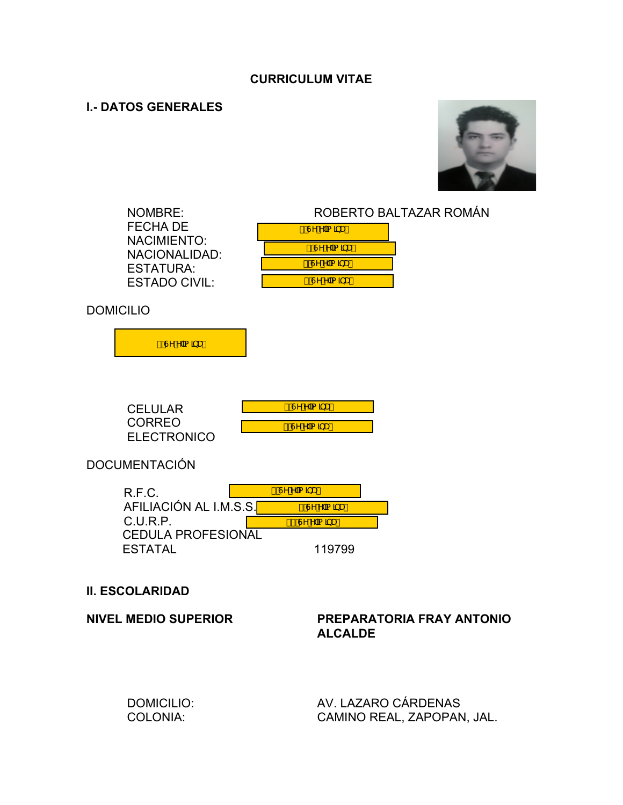# **CURRICULUM VITAE**

# **I.- DATOS GENERALES**

 DOMICILIO: COLONIA:



|                             | <b>NOMBRE:</b><br><b>FECHA DE</b><br><b>NACIMIENTO:</b><br><b>NACIONALIDAD:</b><br><b>ESTATURA:</b><br><b>ESTADO CIVIL:</b> | FÂMA a a<br>GÛ^A a a<br>HÂMA a an<br>I ÂMA a a     | ROBERTO BALTAZAR ROMÁN                      |  |
|-----------------------------|-----------------------------------------------------------------------------------------------------------------------------|----------------------------------------------------|---------------------------------------------|--|
| <b>DOMICILIO</b>            |                                                                                                                             |                                                    |                                             |  |
|                             | í Â∧Á  a a aÁ                                                                                                               |                                                    |                                             |  |
|                             | <b>CELULAR</b><br><b>CORREO</b><br><b>ELECTRONICO</b><br><b>DOCUMENTACIÓN</b>                                               | Î ÂMA a a<br><mark>ÏÁV^Á∖ ą̃ ą̃æÁ</mark>           |                                             |  |
|                             |                                                                                                                             | I ANA a an                                         |                                             |  |
|                             | R.F.C.<br>AFILIACIÓN AL I.M.S.S. <mark>F</mark><br>C.U.R.P.<br><b>CEDULA PROFESIONAL</b><br><b>ESTATAL</b>                  | JÂMA a an<br>F€Â <sup>j∧</sup> Á ą̃ ą̃æÁ<br>119799 |                                             |  |
| <b>II. ESCOLARIDAD</b>      |                                                                                                                             |                                                    |                                             |  |
| <b>NIVEL MEDIO SUPERIOR</b> |                                                                                                                             |                                                    | PREPARATORIA FRAY ANTONIO<br><b>ALCALDE</b> |  |

 AV. LAZARO CÁRDENAS CAMINO REAL, ZAPOPAN, JAL.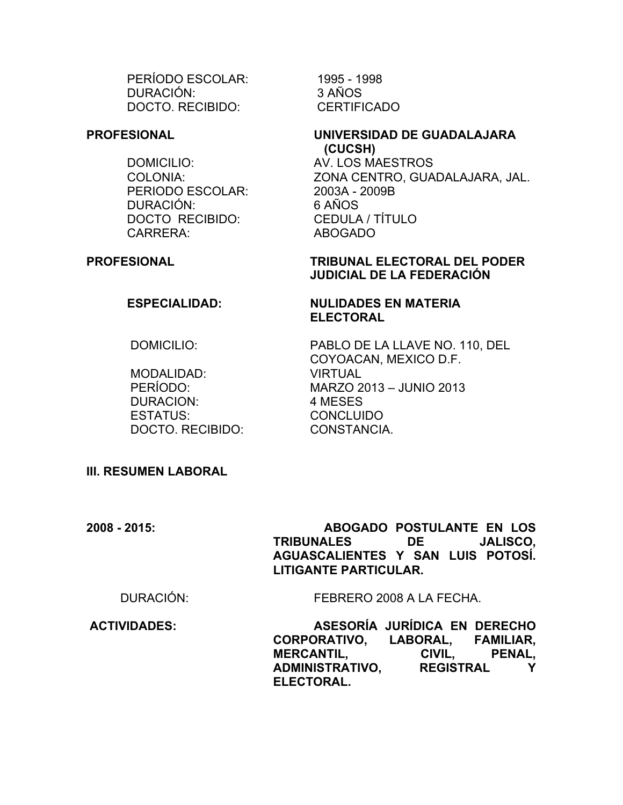PERÍODO ESCOLAR: DURACIÓN: DOCTO. RECIBIDO:

### **PROFESIONAL**

DOMICILIO: AV. LOS MAESTROS PERIODO ESCOLAR: 2003A - 2009B DURACIÓN: 6 AÑOS DOCTO RECIBIDO: CEDULA / TÍTULO CARRERA: ABOGADO

 1995 - 1998 3 AÑOS **CERTIFICADO** 

### **UNIVERSIDAD DE GUADALAJARA (CUCSH)**

COLONIA: ZONA CENTRO, GUADALAJARA, JAL.

# **PROFESIONAL TRIBUNAL ELECTORAL DEL PODER JUDICIAL DE LA FEDERACIÓN**

**NULIDADES EN MATERIA** 

**ELECTORAL**

# **ESPECIALIDAD:**

DOMICILIO:

 MODALIDAD: PERÍODO: DURACION: ESTATUS: DOCTO. RECIBIDO: PABLO DE LA LLAVE NO. 110, DEL COYOACAN, MEXICO D.F. VIRTUAL MARZO 2013 – JUNIO 2013 4 MESES CONCLUIDO CONSTANCIA.

# **III. RESUMEN LABORAL**

**2008 - 2015: ABOGADO POSTULANTE EN LOS TRIBUNALES DE JALISCO, AGUASCALIENTES Y SAN LUIS POTOSÍ. LITIGANTE PARTICULAR.**

DURACIÓN: FEBRERO 2008 A LA FECHA.

**ACTIVIDADES: ASESORÍA JURÍDICA EN DERECHO CORPORATIVO, LABORAL, FAMILIAR, MERCANTIL, CIVIL, PENAL, ADMINISTRATIVO, REGISTRAL Y ELECTORAL.**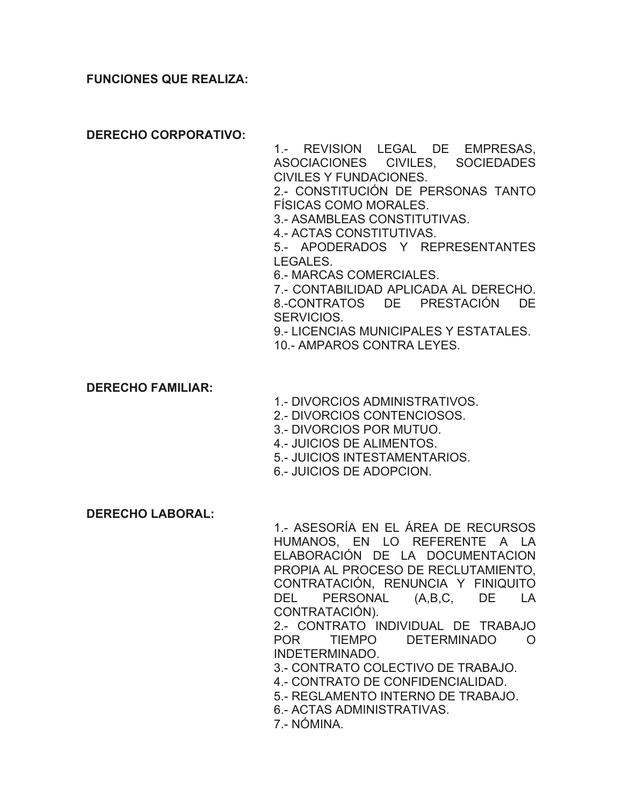## **FUNCIONES QUE REALIZA:**

**DERECHO CORPORATIVO:**

1.- REVISION LEGAL DE EMPRESAS, ASOCIACIONES CIVILES, SOCIEDADES CIVILES Y FUNDACIONES.

2.- CONSTITUCIÓN DE PERSONAS TANTO FÍSICAS COMO MORALES.

3.- ASAMBLEAS CONSTITUTIVAS.

4.- ACTAS CONSTITUTIVAS.

5.- APODERADOS Y REPRESENTANTES LEGALES.

6.- MARCAS COMERCIALES.

7.- CONTABILIDAD APLICADA AL DERECHO. 8.-CONTRATOS DE PRESTACIÓN DE SERVICIOS.

9.- LICENCIAS MUNICIPALES Y ESTATALES.

10.- AMPAROS CONTRA LEYES.

## **DERECHO FAMILIAR:**

1.- DIVORCIOS ADMINISTRATIVOS.

- 2.- DIVORCIOS CONTENCIOSOS.
- 3.- DIVORCIOS POR MUTUO.
- 4.- JUICIOS DE ALIMENTOS.
- 5.- JUICIOS INTESTAMENTARIOS.
- 6.- JUICIOS DE ADOPCION.

### **DERECHO LABORAL:**

1.- ASESORÍA EN EL ÁREA DE RECURSOS HUMANOS, EN LO REFERENTE A LA ELABORACIÓN DE LA DOCUMENTACION PROPIA AL PROCESO DE RECLUTAMIENTO, CONTRATACIÓN, RENUNCIA Y FINIQUITO DEL PERSONAL (A,B,C, DE LA CONTRATACIÓN).

2.- CONTRATO INDIVIDUAL DE TRABAJO POR TIEMPO DETERMINADO O INDETERMINADO.

3.- CONTRATO COLECTIVO DE TRABAJO.

- 4.- CONTRATO DE CONFIDENCIALIDAD.
- 5.- REGLAMENTO INTERNO DE TRABAJO.
- 6.- ACTAS ADMINISTRATIVAS.

7.- NÓMINA.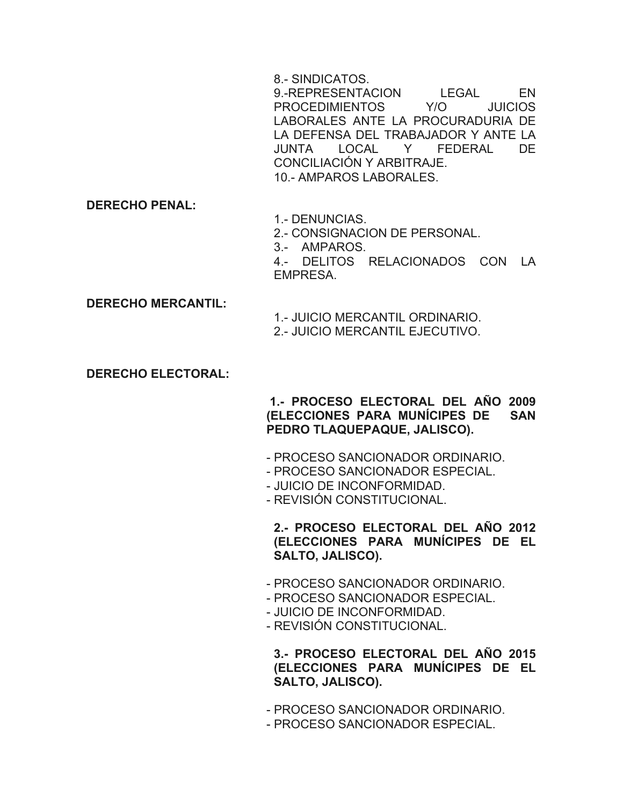8.- SINDICATOS.

9.-REPRESENTACION LEGAL EN PROCEDIMIENTOS Y/O JUICIOS LABORALES ANTE LA PROCURADURIA DE LA DEFENSA DEL TRABAJADOR Y ANTE LA JUNTA LOCAL Y FEDERAL DE CONCILIACIÓN Y ARBITRAJE. 10.- AMPAROS LABORALES.

**DERECHO PENAL:**

1.- DENUNCIAS.

2.- CONSIGNACION DE PERSONAL.

3.- AMPAROS.

4.- DELITOS RELACIONADOS CON LA EMPRESA.

**DERECHO MERCANTIL:**

1.- JUICIO MERCANTIL ORDINARIO. 2.- JUICIO MERCANTIL EJECUTIVO.

# **DERECHO ELECTORAL:**

**1.- PROCESO ELECTORAL DEL AÑO 2009 (ELECCIONES PARA MUNÍCIPES DE SAN PEDRO TLAQUEPAQUE, JALISCO).** 

- PROCESO SANCIONADOR ORDINARIO.
- PROCESO SANCIONADOR ESPECIAL.
- JUICIO DE INCONFORMIDAD.
- REVISIÓN CONSTITUCIONAL.

**2.- PROCESO ELECTORAL DEL AÑO 2012 (ELECCIONES PARA MUNÍCIPES DE EL SALTO, JALISCO).** 

- PROCESO SANCIONADOR ORDINARIO.
- PROCESO SANCIONADOR ESPECIAL.
- JUICIO DE INCONFORMIDAD.
- REVISIÓN CONSTITUCIONAL.

**3.- PROCESO ELECTORAL DEL AÑO 2015 (ELECCIONES PARA MUNÍCIPES DE EL SALTO, JALISCO).** 

- PROCESO SANCIONADOR ORDINARIO.
- PROCESO SANCIONADOR ESPECIAL.